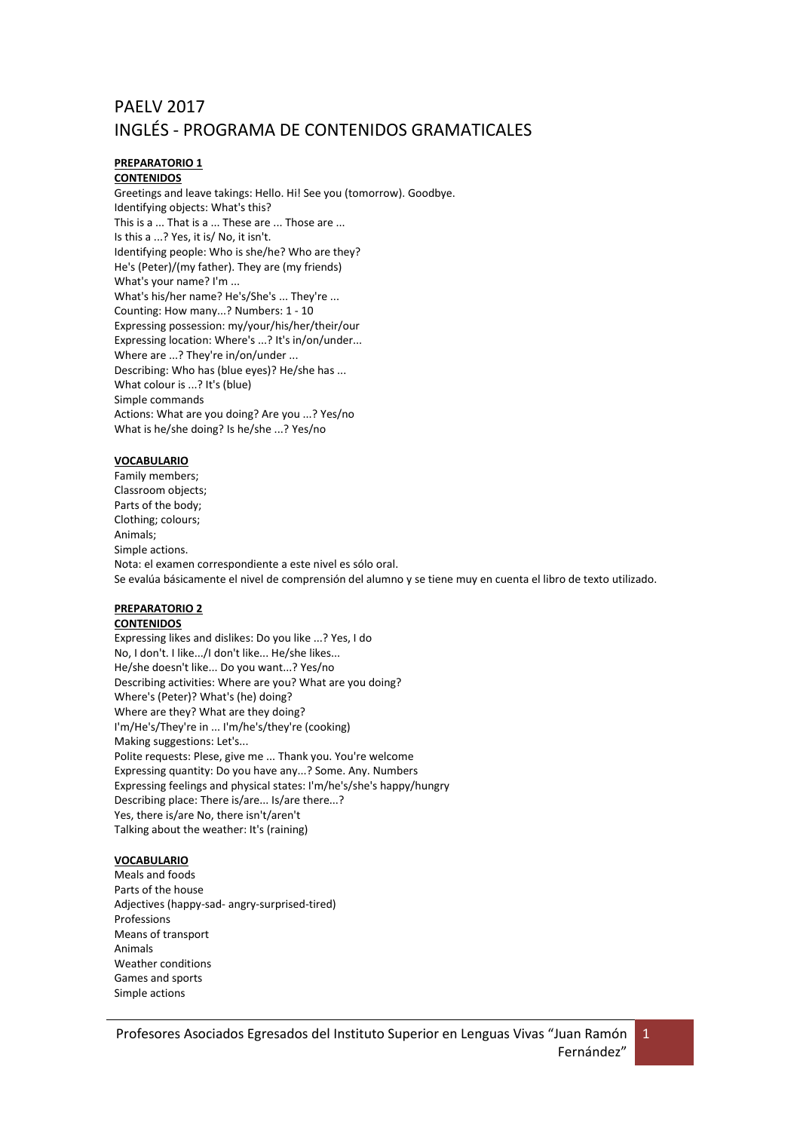# PAELV 2017 INGLÉS - PROGRAMA DE CONTENIDOS GRAMATICALES

# **PREPARATORIO 1**

**CONTENIDOS** Greetings and leave takings: Hello. Hi! See you (tomorrow). Goodbye. Identifying objects: What's this? This is a ... That is a ... These are ... Those are ... Is this a ...? Yes, it is/ No, it isn't. Identifying people: Who is she/he? Who are they? He's (Peter)/(my father). They are (my friends) What's your name? I'm ... What's his/her name? He's/She's ... They're ... Counting: How many...? Numbers: 1 - 10 Expressing possession: my/your/his/her/their/our Expressing location: Where's ...? It's in/on/under... Where are ...? They're in/on/under ... Describing: Who has (blue eyes)? He/she has ... What colour is ...? It's (blue) Simple commands Actions: What are you doing? Are you ...? Yes/no What is he/she doing? Is he/she ...? Yes/no

## **VOCABULARIO**

Family members; Classroom objects; Parts of the body; Clothing; colours; Animals; Simple actions. Nota: el examen correspondiente a este nivel es sólo oral. Se evalúa básicamente el nivel de comprensión del alumno y se tiene muy en cuenta el libro de texto utilizado.

## **PREPARATORIO 2**

## **CONTENIDOS**

Expressing likes and dislikes: Do you like ...? Yes, I do No, I don't. I like.../I don't like... He/she likes... He/she doesn't like... Do you want...? Yes/no Describing activities: Where are you? What are you doing? Where's (Peter)? What's (he) doing? Where are they? What are they doing? I'm/He's/They're in ... I'm/he's/they're (cooking) Making suggestions: Let's... Polite requests: Plese, give me ... Thank you. You're welcome Expressing quantity: Do you have any...? Some. Any. Numbers Expressing feelings and physical states: I'm/he's/she's happy/hungry Describing place: There is/are... Is/are there...? Yes, there is/are No, there isn't/aren't Talking about the weather: It's (raining)

## **VOCABULARIO**

Meals and foods Parts of the house Adjectives (happy-sad- angry-surprised-tired) Professions Means of transport Animals Weather conditions Games and sports Simple actions

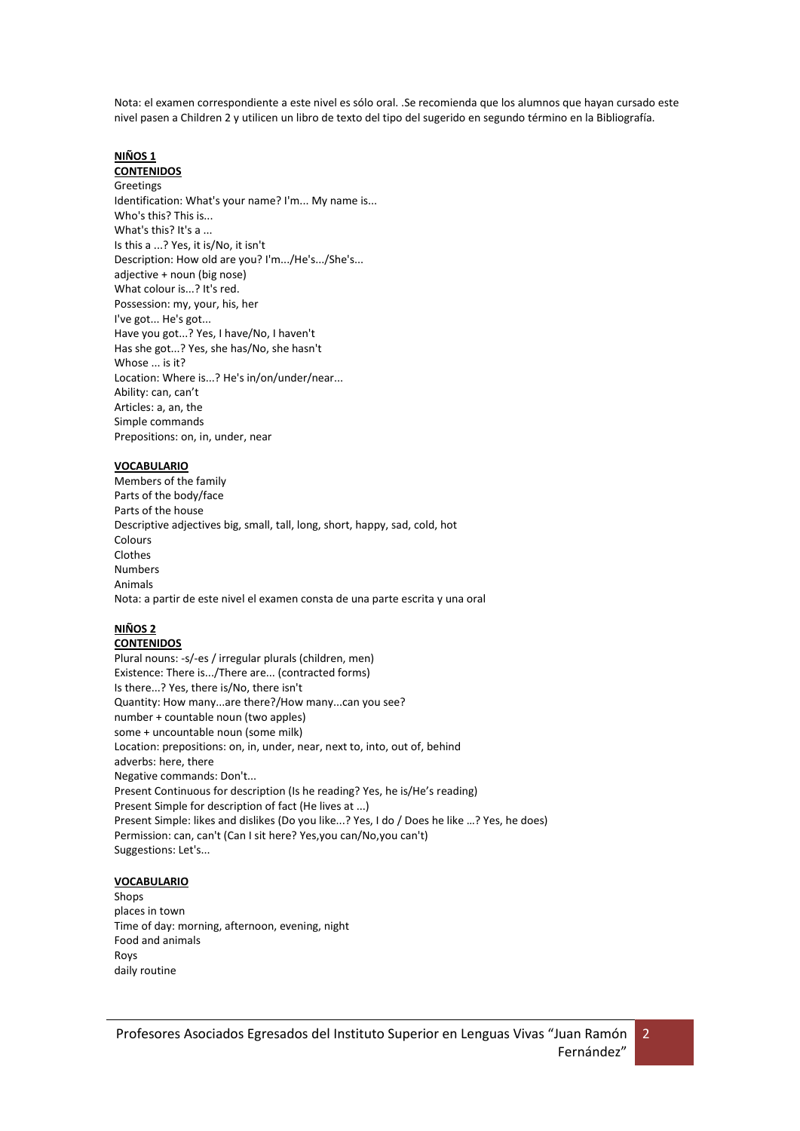Nota: el examen correspondiente a este nivel es sólo oral. .Se recomienda que los alumnos que hayan cursado este nivel pasen a Children 2 y utilicen un libro de texto del tipo del sugerido en segundo término en la Bibliografía.

# **NIÑOS 1**

**CONTENIDOS** Greetings Identification: What's your name? I'm... My name is... Who's this? This is... What's this? It's a ... Is this a ...? Yes, it is/No, it isn't Description: How old are you? I'm.../He's.../She's... adjective + noun (big nose) What colour is...? It's red.

Possession: my, your, his, her I've got... He's got... Have you got...? Yes, I have/No, I haven't Has she got...? Yes, she has/No, she hasn't Whose ... is it? Location: Where is...? He's in/on/under/near... Ability: can, can't Articles: a, an, the Simple commands Prepositions: on, in, under, near

## **VOCABULARIO**

Members of the family Parts of the body/face Parts of the house Descriptive adjectives big, small, tall, long, short, happy, sad, cold, hot Colours Clothes Numbers Animals Nota: a partir de este nivel el examen consta de una parte escrita y una oral

# **NIÑOS 2**

## **CONTENIDOS**

Plural nouns: -s/-es / irregular plurals (children, men) Existence: There is.../There are... (contracted forms) Is there...? Yes, there is/No, there isn't Quantity: How many...are there?/How many...can you see? number + countable noun (two apples) some + uncountable noun (some milk) Location: prepositions: on, in, under, near, next to, into, out of, behind adverbs: here, there Negative commands: Don't... Present Continuous for description (Is he reading? Yes, he is/He's reading) Present Simple for description of fact (He lives at ...) Present Simple: likes and dislikes (Do you like...? Yes, I do / Does he like …? Yes, he does) Permission: can, can't (Can I sit here? Yes,you can/No,you can't) Suggestions: Let's...

## **VOCABULARIO**

Shops places in town Time of day: morning, afternoon, evening, night Food and animals Roys daily routine

 $\overline{2}$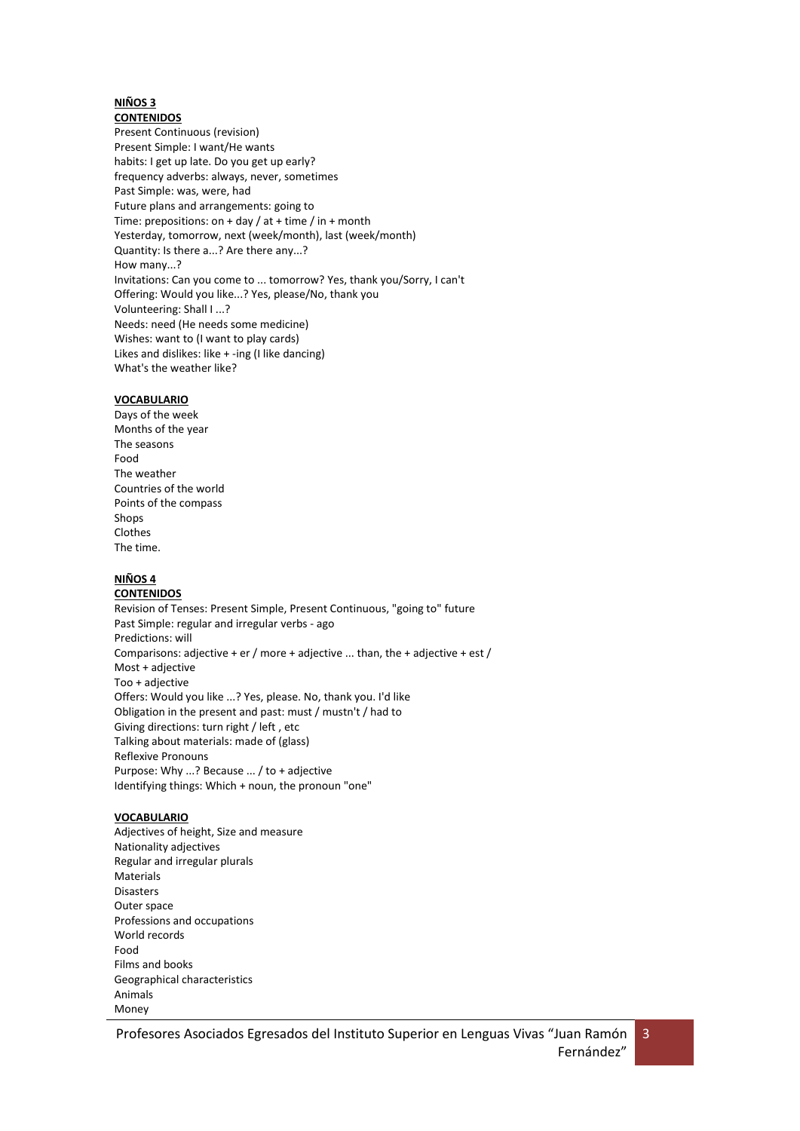#### **NIÑOS 3 CONTENIDOS**

Present Continuous (revision) Present Simple: I want/He wants habits: I get up late. Do you get up early? frequency adverbs: always, never, sometimes Past Simple: was, were, had Future plans and arrangements: going to Time: prepositions: on + day / at + time / in + month Yesterday, tomorrow, next (week/month), last (week/month) Quantity: Is there a...? Are there any...? How many...? Invitations: Can you come to ... tomorrow? Yes, thank you/Sorry, I can't Offering: Would you like...? Yes, please/No, thank you Volunteering: Shall I ...? Needs: need (He needs some medicine) Wishes: want to (I want to play cards) Likes and dislikes: like + -ing (I like dancing) What's the weather like?

## **VOCABULARIO**

Days of the week Months of the year The seasons Food The weather Countries of the world Points of the compass Shops Clothes The time.

## **NIÑOS 4**

#### **CONTENIDOS**

Revision of Tenses: Present Simple, Present Continuous, "going to" future Past Simple: regular and irregular verbs - ago Predictions: will Comparisons: adjective + er / more + adjective ... than, the + adjective + est / Most + adjective Too + adjective Offers: Would you like ...? Yes, please. No, thank you. I'd like Obligation in the present and past: must / mustn't / had to Giving directions: turn right / left , etc Talking about materials: made of (glass) Reflexive Pronouns Purpose: Why ...? Because ... / to + adjective Identifying things: Which + noun, the pronoun "one"

## **VOCABULARIO**

Adjectives of height, Size and measure Nationality adjectives Regular and irregular plurals **Materials** Disasters Outer space Professions and occupations World records Food Films and books Geographical characteristics Animals Money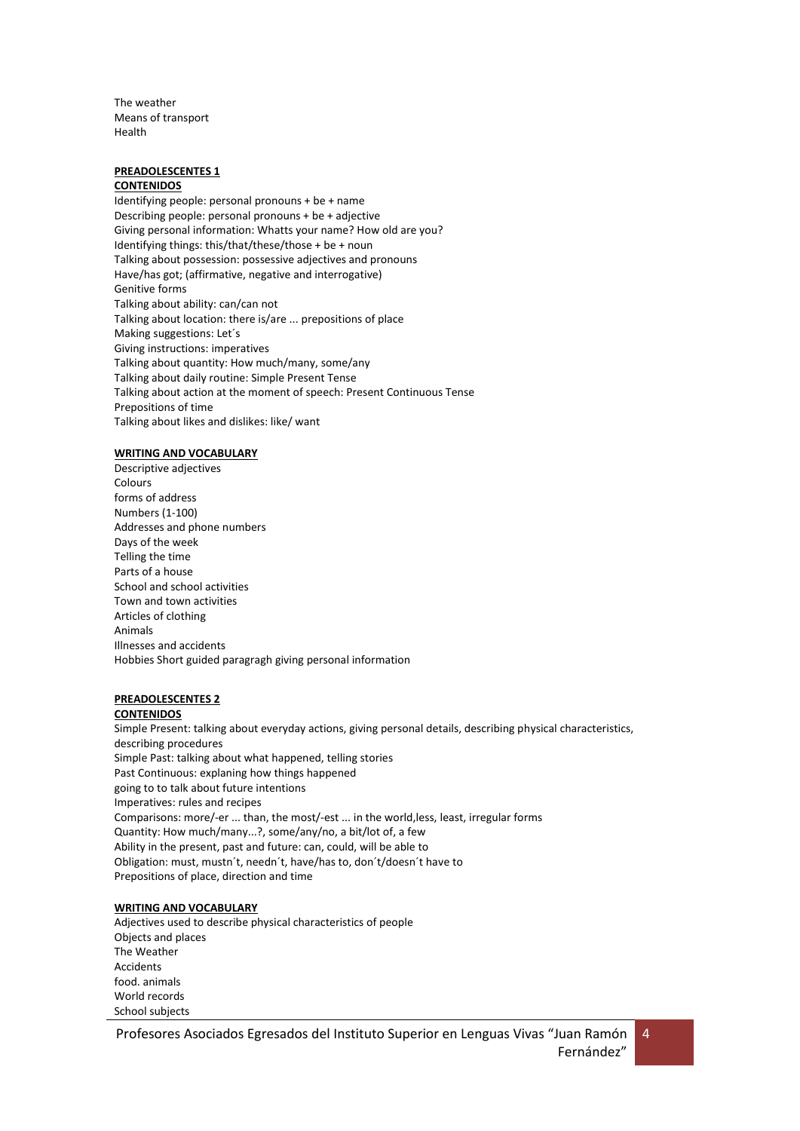The weather Means of transport Health

## **PREADOLESCENTES 1**

## **CONTENIDOS**

Identifying people: personal pronouns + be + name Describing people: personal pronouns + be + adjective Giving personal information: Whatts your name? How old are you? Identifying things: this/that/these/those + be + noun Talking about possession: possessive adjectives and pronouns Have/has got; (affirmative, negative and interrogative) Genitive forms Talking about ability: can/can not Talking about location: there is/are ... prepositions of place Making suggestions: Let´s Giving instructions: imperatives Talking about quantity: How much/many, some/any Talking about daily routine: Simple Present Tense Talking about action at the moment of speech: Present Continuous Tense Prepositions of time Talking about likes and dislikes: like/ want

#### **WRITING AND VOCABULARY**

Descriptive adjectives Colours forms of address Numbers (1-100) Addresses and phone numbers Days of the week Telling the time Parts of a house School and school activities Town and town activities Articles of clothing Animals Illnesses and accidents Hobbies Short guided paragragh giving personal information

## **PREADOLESCENTES 2**

#### **CONTENIDOS**

Simple Present: talking about everyday actions, giving personal details, describing physical characteristics, describing procedures Simple Past: talking about what happened, telling stories Past Continuous: explaning how things happened going to to talk about future intentions Imperatives: rules and recipes Comparisons: more/-er ... than, the most/-est ... in the world,less, least, irregular forms Quantity: How much/many...?, some/any/no, a bit/lot of, a few Ability in the present, past and future: can, could, will be able to Obligation: must, mustn´t, needn´t, have/has to, don´t/doesn´t have to Prepositions of place, direction and time

## **WRITING AND VOCABULARY**

Adjectives used to describe physical characteristics of people Objects and places The Weather Accidents food. animals World records School subjects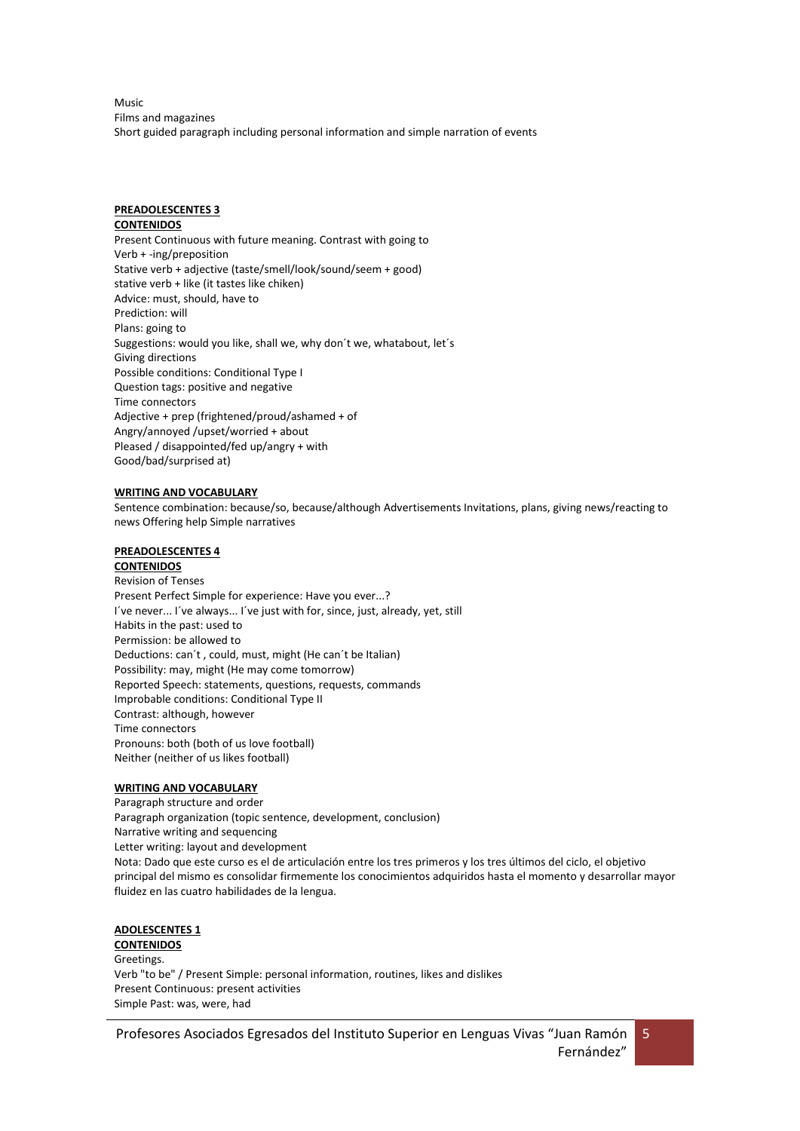Music Films and magazines Short guided paragraph including personal information and simple narration of events

# **PREADOLESCENTES 3**

## **CONTENIDOS**

Present Continuous with future meaning. Contrast with going to Verb + -ing/preposition Stative verb + adjective (taste/smell/look/sound/seem + good) stative verb + like (it tastes like chiken) Advice: must, should, have to Prediction: will Plans: going to Suggestions: would you like, shall we, why don´t we, whatabout, let´s Giving directions Possible conditions: Conditional Type I Question tags: positive and negative Time connectors Adjective + prep (frightened/proud/ashamed + of Angry/annoyed /upset/worried + about Pleased / disappointed/fed up/angry + with Good/bad/surprised at)

## **WRITING AND VOCABULARY**

Sentence combination: because/so, because/although Advertisements Invitations, plans, giving news/reacting to news Offering help Simple narratives

## **PREADOLESCENTES 4**

## **CONTENIDOS**

Revision of Tenses Present Perfect Simple for experience: Have you ever...? I´ve never... I´ve always... I´ve just with for, since, just, already, yet, still Habits in the past: used to Permission: be allowed to Deductions: can´t , could, must, might (He can´t be Italian) Possibility: may, might (He may come tomorrow) Reported Speech: statements, questions, requests, commands Improbable conditions: Conditional Type II Contrast: although, however Time connectors Pronouns: both (both of us love football) Neither (neither of us likes football)

## **WRITING AND VOCABULARY**

Paragraph structure and order Paragraph organization (topic sentence, development, conclusion) Narrative writing and sequencing Letter writing: layout and development Nota: Dado que este curso es el de articulación entre los tres primeros y los tres últimos del ciclo, el objetivo principal del mismo es consolidar firmemente los conocimientos adquiridos hasta el momento y desarrollar mayor fluidez en las cuatro habilidades de la lengua.

## **ADOLESCENTES 1**

**CONTENIDOS** Greetings. Verb "to be" / Present Simple: personal information, routines, likes and dislikes Present Continuous: present activities Simple Past: was, were, had

Profesores Asociados Egresados del Instituto Superior en Lenguas Vivas "Juan Ramón Fernández"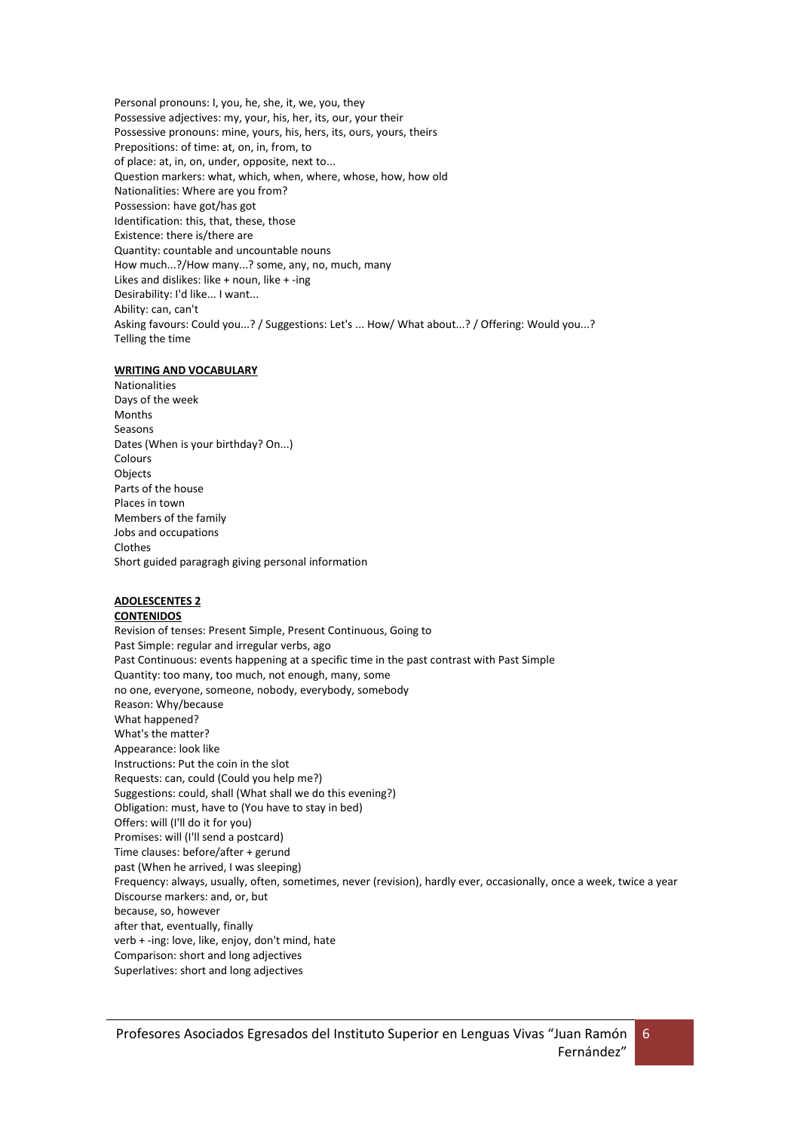Personal pronouns: I, you, he, she, it, we, you, they Possessive adjectives: my, your, his, her, its, our, your their Possessive pronouns: mine, yours, his, hers, its, ours, yours, theirs Prepositions: of time: at, on, in, from, to of place: at, in, on, under, opposite, next to... Question markers: what, which, when, where, whose, how, how old Nationalities: Where are you from? Possession: have got/has got Identification: this, that, these, those Existence: there is/there are Quantity: countable and uncountable nouns How much...?/How many...? some, any, no, much, many Likes and dislikes: like + noun, like + -ing Desirability: I'd like... I want... Ability: can, can't Asking favours: Could you...? / Suggestions: Let's ... How/ What about...? / Offering: Would you...? Telling the time

#### **WRITING AND VOCABULARY**

Nationalities Days of the week Months Seasons Dates (When is your birthday? On...) Colours Objects Parts of the house Places in town Members of the family Jobs and occupations Clothes Short guided paragragh giving personal information

## **ADOLESCENTES 2**

#### **CONTENIDOS**

Revision of tenses: Present Simple, Present Continuous, Going to Past Simple: regular and irregular verbs, ago Past Continuous: events happening at a specific time in the past contrast with Past Simple Quantity: too many, too much, not enough, many, some no one, everyone, someone, nobody, everybody, somebody Reason: Why/because What happened? What's the matter? Appearance: look like Instructions: Put the coin in the slot Requests: can, could (Could you help me?) Suggestions: could, shall (What shall we do this evening?) Obligation: must, have to (You have to stay in bed) Offers: will (I'll do it for you) Promises: will (I'll send a postcard) Time clauses: before/after + gerund past (When he arrived, I was sleeping) Frequency: always, usually, often, sometimes, never (revision), hardly ever, occasionally, once a week, twice a year Discourse markers: and, or, but because, so, however after that, eventually, finally verb + -ing: love, like, enjoy, don't mind, hate Comparison: short and long adjectives Superlatives: short and long adjectives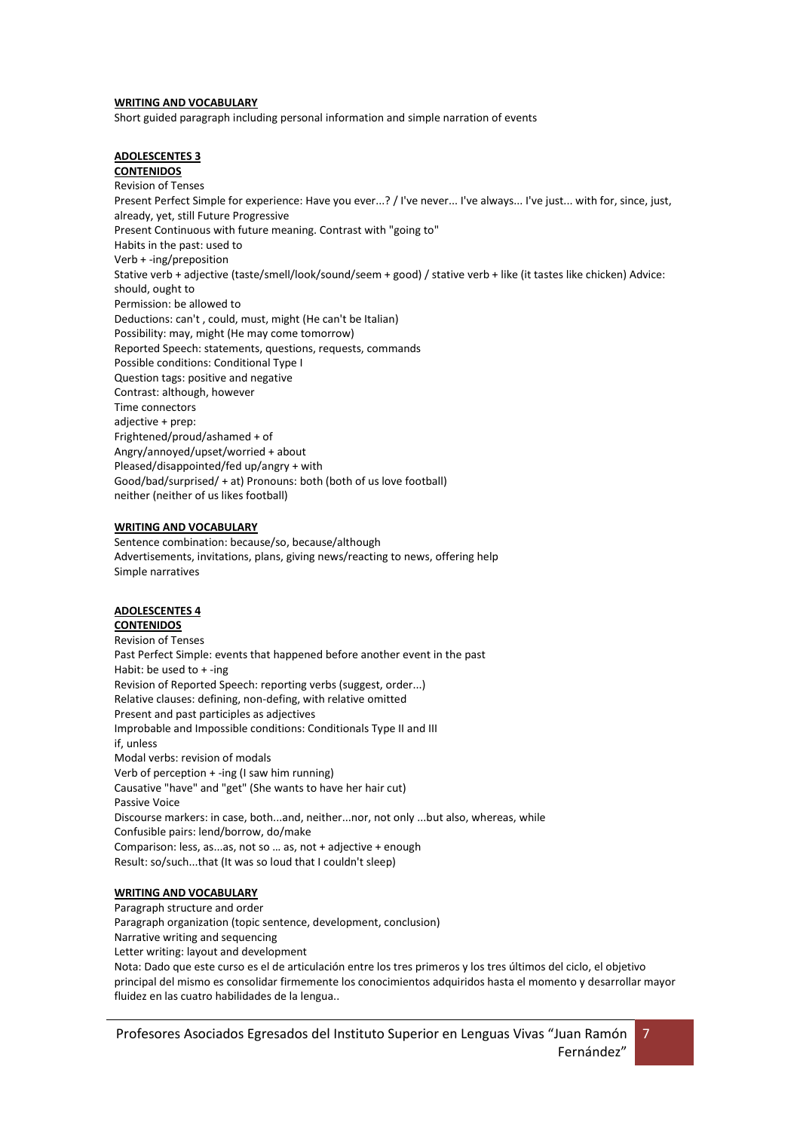#### **WRITING AND VOCABULARY**

Short guided paragraph including personal information and simple narration of events

#### **ADOLESCENTES 3 CONTENIDOS**

Revision of Tenses Present Perfect Simple for experience: Have you ever...? / I've never... I've always... I've just... with for, since, just, already, yet, still Future Progressive Present Continuous with future meaning. Contrast with "going to" Habits in the past: used to Verb + -ing/preposition Stative verb + adjective (taste/smell/look/sound/seem + good) / stative verb + like (it tastes like chicken) Advice: should, ought to Permission: be allowed to Deductions: can't , could, must, might (He can't be Italian) Possibility: may, might (He may come tomorrow) Reported Speech: statements, questions, requests, commands Possible conditions: Conditional Type I Question tags: positive and negative Contrast: although, however Time connectors adjective + prep: Frightened/proud/ashamed + of Angry/annoyed/upset/worried + about Pleased/disappointed/fed up/angry + with Good/bad/surprised/ + at) Pronouns: both (both of us love football) neither (neither of us likes football)

#### **WRITING AND VOCABULARY**

Sentence combination: because/so, because/although Advertisements, invitations, plans, giving news/reacting to news, offering help Simple narratives

#### **ADOLESCENTES 4 CONTENIDOS**

Revision of Tenses Past Perfect Simple: events that happened before another event in the past Habit: be used to + -ing Revision of Reported Speech: reporting verbs (suggest, order...) Relative clauses: defining, non-defing, with relative omitted Present and past participles as adjectives Improbable and Impossible conditions: Conditionals Type II and III if, unless Modal verbs: revision of modals Verb of perception + -ing (I saw him running) Causative "have" and "get" (She wants to have her hair cut) Passive Voice Discourse markers: in case, both...and, neither...nor, not only ...but also, whereas, while Confusible pairs: lend/borrow, do/make Comparison: less, as...as, not so … as, not + adjective + enough Result: so/such...that (It was so loud that I couldn't sleep)

## **WRITING AND VOCABULARY**

Paragraph structure and order Paragraph organization (topic sentence, development, conclusion) Narrative writing and sequencing Letter writing: layout and development Nota: Dado que este curso es el de articulación entre los tres primeros y los tres últimos del ciclo, el objetivo principal del mismo es consolidar firmemente los conocimientos adquiridos hasta el momento y desarrollar mayor fluidez en las cuatro habilidades de la lengua..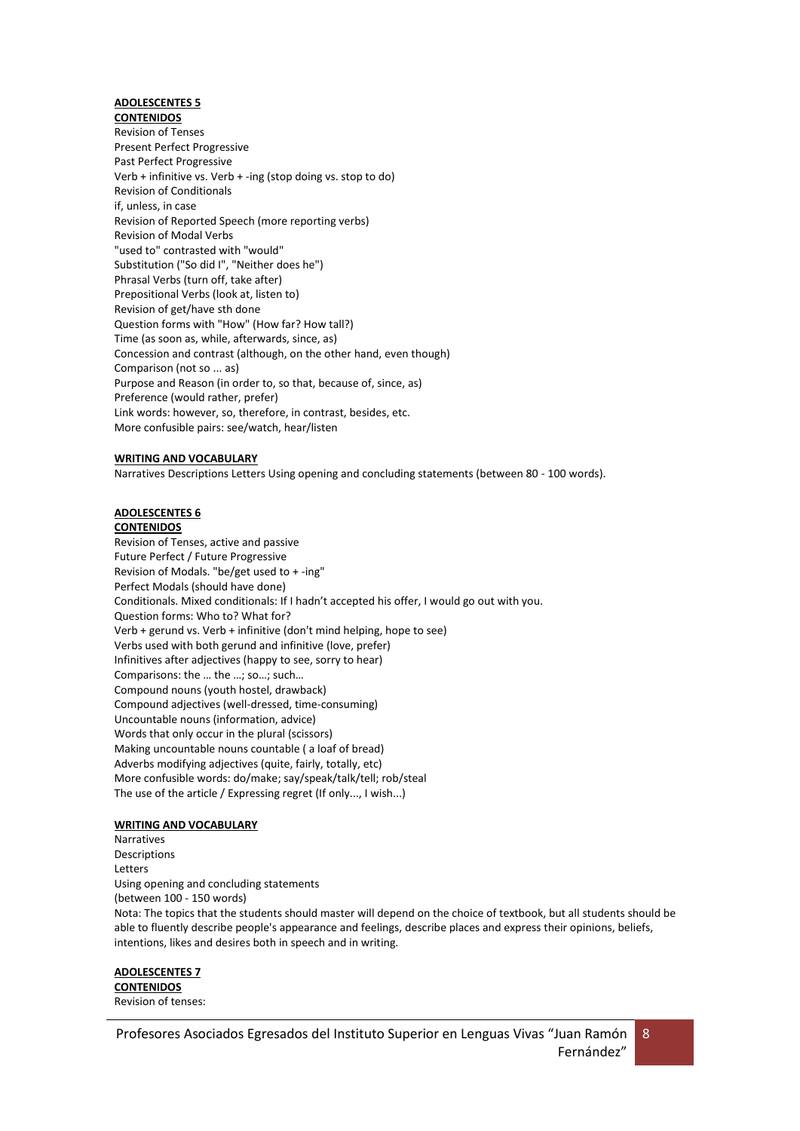## **ADOLESCENTES 5**

**CONTENIDOS** Revision of Tenses Present Perfect Progressive Past Perfect Progressive Verb + infinitive vs. Verb + -ing (stop doing vs. stop to do) Revision of Conditionals if, unless, in case Revision of Reported Speech (more reporting verbs) Revision of Modal Verbs "used to" contrasted with "would" Substitution ("So did I", "Neither does he") Phrasal Verbs (turn off, take after) Prepositional Verbs (look at, listen to) Revision of get/have sth done Question forms with "How" (How far? How tall?) Time (as soon as, while, afterwards, since, as) Concession and contrast (although, on the other hand, even though) Comparison (not so ... as) Purpose and Reason (in order to, so that, because of, since, as) Preference (would rather, prefer) Link words: however, so, therefore, in contrast, besides, etc. More confusible pairs: see/watch, hear/listen

#### **WRITING AND VOCABULARY**

Narratives Descriptions Letters Using opening and concluding statements (between 80 - 100 words).

## **ADOLESCENTES 6**

#### **CONTENIDOS**

Revision of Tenses, active and passive Future Perfect / Future Progressive Revision of Modals. "be/get used to + -ing" Perfect Modals (should have done) Conditionals. Mixed conditionals: If I hadn't accepted his offer, I would go out with you. Question forms: Who to? What for? Verb + gerund vs. Verb + infinitive (don't mind helping, hope to see) Verbs used with both gerund and infinitive (love, prefer) Infinitives after adjectives (happy to see, sorry to hear) Comparisons: the … the …; so…; such… Compound nouns (youth hostel, drawback) Compound adjectives (well-dressed, time-consuming) Uncountable nouns (information, advice) Words that only occur in the plural (scissors) Making uncountable nouns countable ( a loaf of bread) Adverbs modifying adjectives (quite, fairly, totally, etc) More confusible words: do/make; say/speak/talk/tell; rob/steal The use of the article / Expressing regret (If only..., I wish...)

#### **WRITING AND VOCABULARY**

Narratives **Descriptions** Letters Using opening and concluding statements (between 100 - 150 words) Nota: The topics that the students should master will depend on the choice of textbook, but all students should be able to fluently describe people's appearance and feelings, describe places and express their opinions, beliefs, intentions, likes and desires both in speech and in writing.

#### **ADOLESCENTES 7 CONTENIDOS** Revision of tenses: